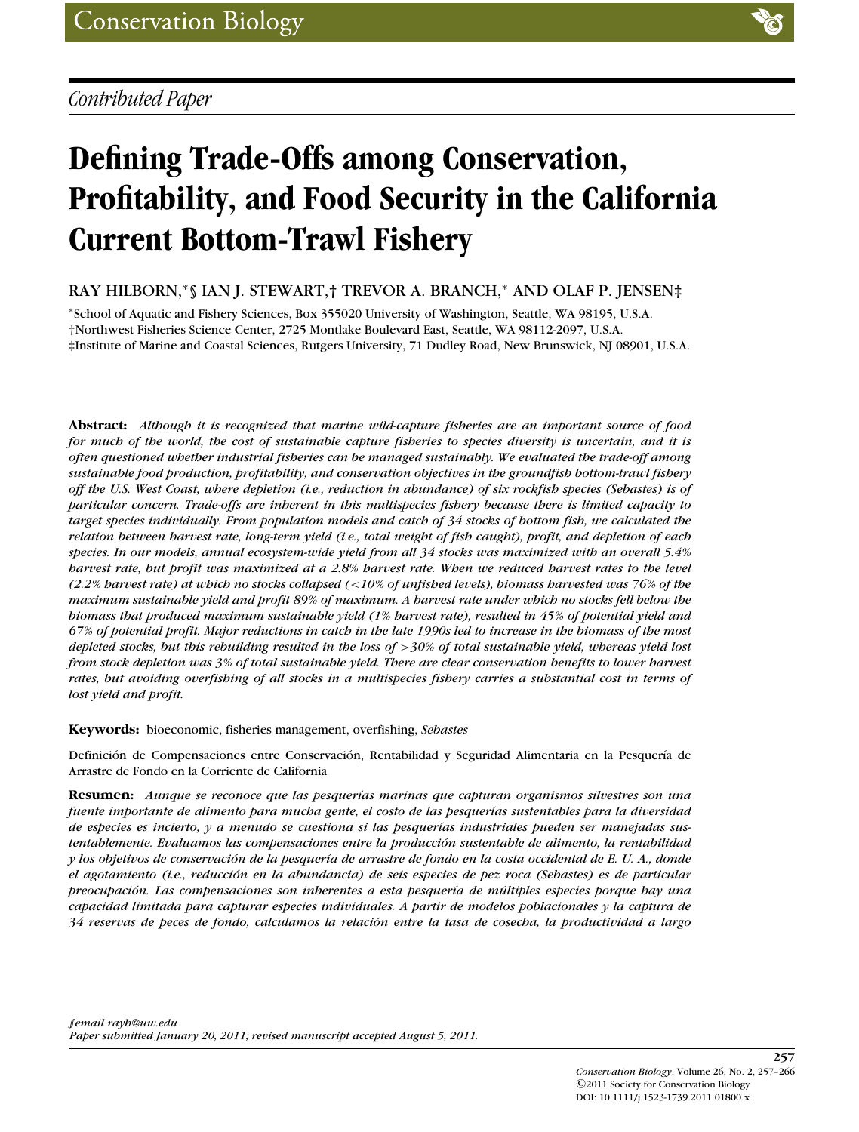## *Contributed Paper*

# **Defining Trade-Offs among Conservation, Profitability, and Food Security in the California Current Bottom-Trawl Fishery**

### RAY HILBORN,∗§ IAN J. STEWART,† TREVOR A. BRANCH,<sup>∗</sup> AND OLAF P. JENSEN‡

<sup>∗</sup>School of Aquatic and Fishery Sciences, Box 355020 University of Washington, Seattle, WA 98195, U.S.A. †Northwest Fisheries Science Center, 2725 Montlake Boulevard East, Seattle, WA 98112-2097, U.S.A. ‡Institute of Marine and Coastal Sciences, Rutgers University, 71 Dudley Road, New Brunswick, NJ 08901, U.S.A.

**Abstract:** *Although it is recognized that marine wild-capture fisheries are an important source of food for much of the world, the cost of sustainable capture fisheries to species diversity is uncertain, and it is often questioned whether industrial fisheries can be managed sustainably. We evaluated the trade-off among sustainable food production, profitability, and conservation objectives in the groundfish bottom-trawl fishery off the U.S. West Coast, where depletion (i.e., reduction in abundance) of six rockfish species (Sebastes) is of particular concern. Trade-offs are inherent in this multispecies fishery because there is limited capacity to target species individually. From population models and catch of 34 stocks of bottom fish, we calculated the relation between harvest rate, long-term yield (i.e., total weight of fish caught), profit, and depletion of each species. In our models, annual ecosystem-wide yield from all 34 stocks was maximized with an overall 5.4% harvest rate, but profit was maximized at a 2.8% harvest rate. When we reduced harvest rates to the level (2.2% harvest rate) at which no stocks collapsed (*<*10% of unfished levels), biomass harvested was 76% of the maximum sustainable yield and profit 89% of maximum. A harvest rate under which no stocks fell below the biomass that produced maximum sustainable yield (1% harvest rate), resulted in 45% of potential yield and 67% of potential profit. Major reductions in catch in the late 1990s led to increase in the biomass of the most depleted stocks, but this rebuilding resulted in the loss of* >*30% of total sustainable yield, whereas yield lost from stock depletion was 3% of total sustainable yield. There are clear conservation benefits to lower harvest rates, but avoiding overfishing of all stocks in a multispecies fishery carries a substantial cost in terms of lost yield and profit.*

**Keywords:** bioeconomic, fisheries management, overfishing, *Sebastes*

Definición de Compensaciones entre Conservación, Rentabilidad y Seguridad Alimentaria en la Pesquería de Arrastre de Fondo en la Corriente de California

**Resumen:** *Aunque se reconoce que las pesquerías marinas que capturan organismos silvestres son una fuente importante de alimento para mucha gente, el costo de las pesquerías sustentables para la diversidad* de especies es incierto, y a menudo se cuestiona si las pesquerías industriales pueden ser manejadas sus*tentablemente. Evaluamos las compensaciones entre la produccion sustentable de alimento, la rentabilidad ´ y los objetivos de conservacion de la pesquer ´ ´ıa de arrastre de fondo en la costa occidental de E. U. A., donde el agotamiento (i.e., reduccion en la abundancia) de seis especies de pez roca (Sebastes) es de particular ´ preocupación. Las compensaciones son inherentes a esta pesquería de múltiples especies porque hay una capacidad limitada para capturar especies individuales. A partir de modelos poblacionales y la captura de 34 reservas de peces de fondo, calculamos la relacion entre la tasa de cosecha, la productividad a largo ´*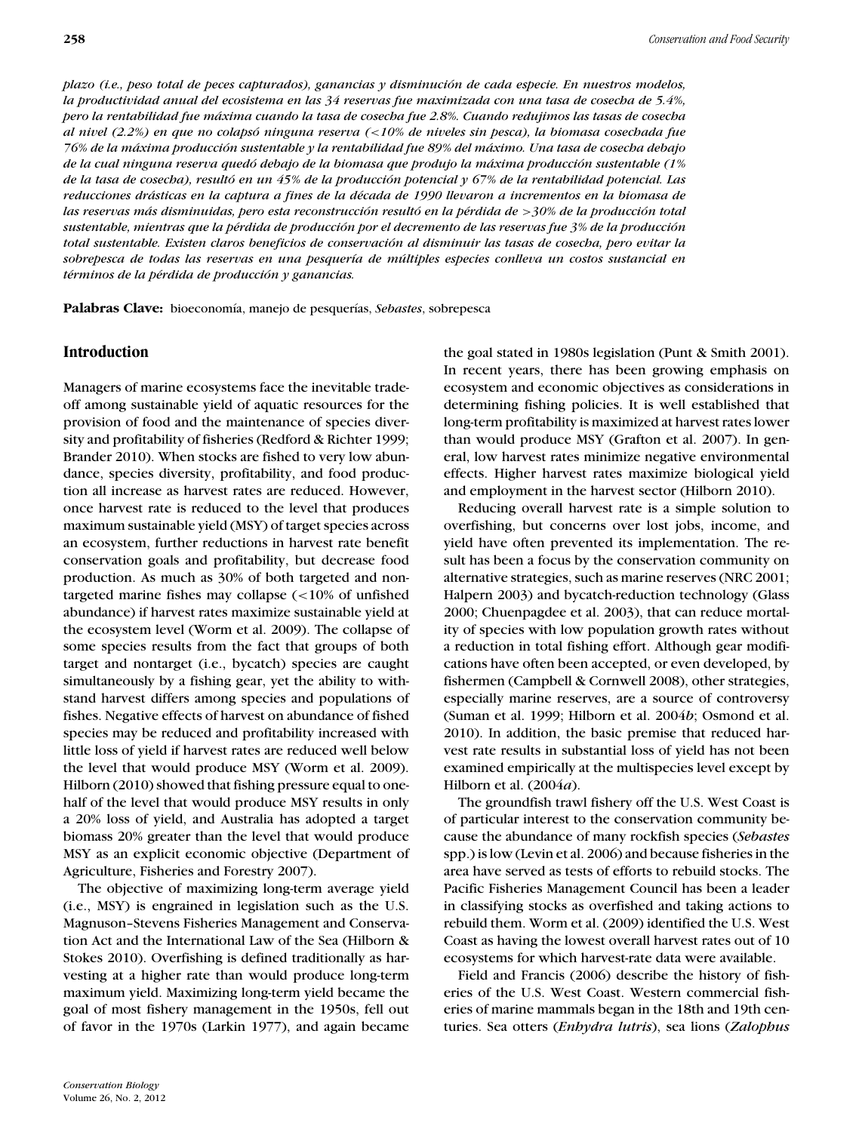*plazo (i.e., peso total de peces capturados), ganancias y disminucion de cada especie. En nuestros modelos, ´ la productividad anual del ecosistema en las 34 reservas fue maximizada con una tasa de cosecha de 5.4%, pero la rentabilidad fue maxima cuando la tasa de cosecha fue 2.8%. Cuando redujimos las tasas de cosecha ´ al nivel (2.2%) en que no colapso ninguna reserva ( ´* <*10% de niveles sin pesca), la biomasa cosechada fue 76% de la maxima producci ´ on sustentable y la rentabilidad fue 89% del m ´ aximo. Una tasa de cosecha debajo ´ de la cual ninguna reserva quedo debajo de la biomasa que produjo la m ´ axima producci ´ on sustentable (1% ´ de la tasa de cosecha), resulto en un 45% de la producci ´ on potencial y 67% de la rentabilidad potencial. Las ´ reducciones drasticas en la captura a fines de la d ´ ´ecada de 1990 llevaron a incrementos en la biomasa de las reservas mas disminuidas, pero esta reconstrucci ´ on result ´ o en la p ´ ´erdida de* >*30% de la produccion total ´ sustentable, mientras que la p´erdida de produccion por el decremento de las reservas fue 3% de la producci ´ on´ total sustentable. Existen claros beneficios de conservacion al disminuir las tasas de cosecha, pero evitar la ´ sobrepesca de todas las reservas en una pesquer´ıa de multiples especies conlleva un costos sustancial en ´ t´erminos de la p´erdida de produccion y ganancias. ´*

**Palabras Clave:** bioeconomía, manejo de pesquerías, *Sebastes*, sobrepesca

#### **Introduction**

Managers of marine ecosystems face the inevitable tradeoff among sustainable yield of aquatic resources for the provision of food and the maintenance of species diversity and profitability of fisheries (Redford & Richter 1999; Brander 2010). When stocks are fished to very low abundance, species diversity, profitability, and food production all increase as harvest rates are reduced. However, once harvest rate is reduced to the level that produces maximum sustainable yield (MSY) of target species across an ecosystem, further reductions in harvest rate benefit conservation goals and profitability, but decrease food production. As much as 30% of both targeted and nontargeted marine fishes may collapse (<10% of unfished abundance) if harvest rates maximize sustainable yield at the ecosystem level (Worm et al. 2009). The collapse of some species results from the fact that groups of both target and nontarget (i.e., bycatch) species are caught simultaneously by a fishing gear, yet the ability to withstand harvest differs among species and populations of fishes. Negative effects of harvest on abundance of fished species may be reduced and profitability increased with little loss of yield if harvest rates are reduced well below the level that would produce MSY (Worm et al. 2009). Hilborn (2010) showed that fishing pressure equal to onehalf of the level that would produce MSY results in only a 20% loss of yield, and Australia has adopted a target biomass 20% greater than the level that would produce MSY as an explicit economic objective (Department of Agriculture, Fisheries and Forestry 2007).

The objective of maximizing long-term average yield (i.e., MSY) is engrained in legislation such as the U.S. Magnuson–Stevens Fisheries Management and Conservation Act and the International Law of the Sea (Hilborn & Stokes 2010). Overfishing is defined traditionally as harvesting at a higher rate than would produce long-term maximum yield. Maximizing long-term yield became the goal of most fishery management in the 1950s, fell out of favor in the 1970s (Larkin 1977), and again became

the goal stated in 1980s legislation (Punt & Smith 2001). In recent years, there has been growing emphasis on ecosystem and economic objectives as considerations in determining fishing policies. It is well established that long-term profitability is maximized at harvest rates lower than would produce MSY (Grafton et al. 2007). In general, low harvest rates minimize negative environmental effects. Higher harvest rates maximize biological yield and employment in the harvest sector (Hilborn 2010).

Reducing overall harvest rate is a simple solution to overfishing, but concerns over lost jobs, income, and yield have often prevented its implementation. The result has been a focus by the conservation community on alternative strategies, such as marine reserves (NRC 2001; Halpern 2003) and bycatch-reduction technology (Glass 2000; Chuenpagdee et al. 2003), that can reduce mortality of species with low population growth rates without a reduction in total fishing effort. Although gear modifications have often been accepted, or even developed, by fishermen (Campbell & Cornwell 2008), other strategies, especially marine reserves, are a source of controversy (Suman et al. 1999; Hilborn et al. 2004*b*; Osmond et al. 2010). In addition, the basic premise that reduced harvest rate results in substantial loss of yield has not been examined empirically at the multispecies level except by Hilborn et al. (2004*a*).

The groundfish trawl fishery off the U.S. West Coast is of particular interest to the conservation community because the abundance of many rockfish species (*Sebastes* spp.) is low (Levin et al. 2006) and because fisheries in the area have served as tests of efforts to rebuild stocks. The Pacific Fisheries Management Council has been a leader in classifying stocks as overfished and taking actions to rebuild them. Worm et al. (2009) identified the U.S. West Coast as having the lowest overall harvest rates out of 10 ecosystems for which harvest-rate data were available.

Field and Francis (2006) describe the history of fisheries of the U.S. West Coast. Western commercial fisheries of marine mammals began in the 18th and 19th centuries. Sea otters (*Enhydra lutris*), sea lions (*Zalophus*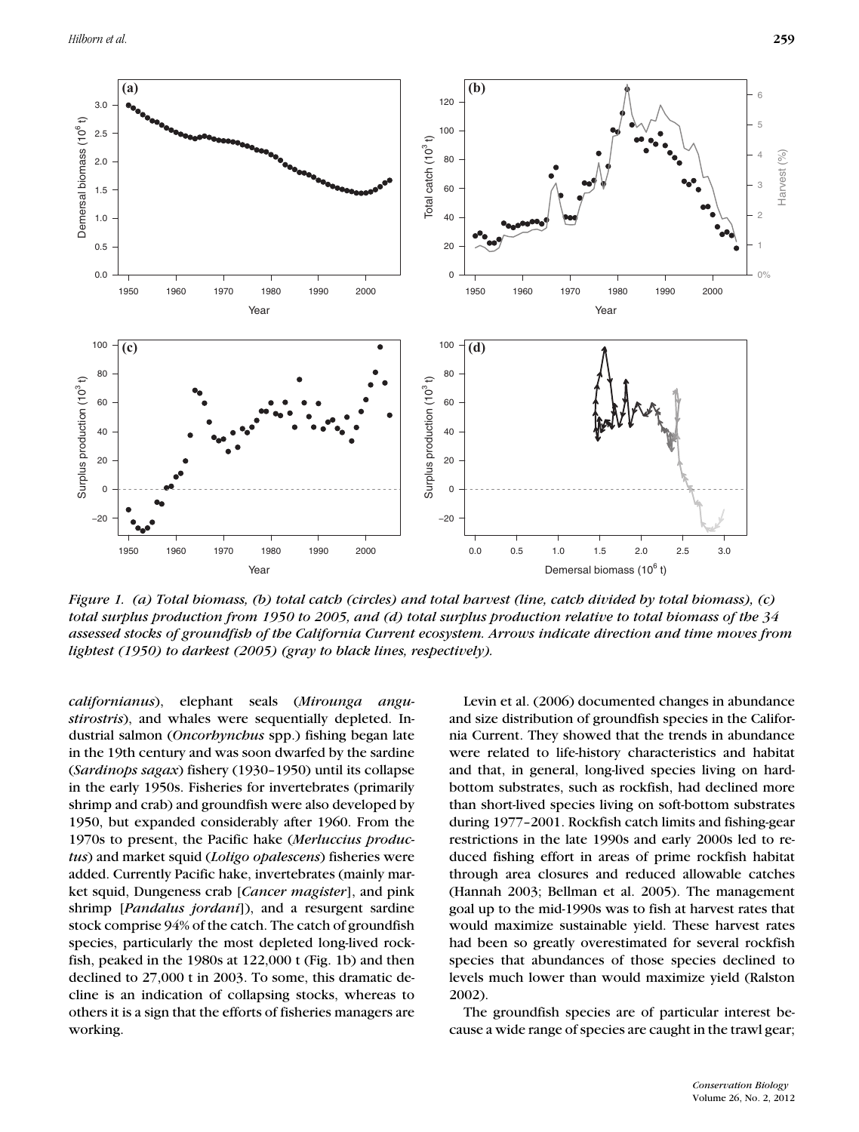

*Figure 1. (a) Total biomass, (b) total catch (circles) and total harvest (line, catch divided by total biomass), (c) total surplus production from 1950 to 2005, and (d) total surplus production relative to total biomass of the 34 assessed stocks of groundfish of the California Current ecosystem. Arrows indicate direction and time moves from lightest (1950) to darkest (2005) (gray to black lines, respectively).*

*californianus*), elephant seals (*Mirounga angustirostris*), and whales were sequentially depleted. Industrial salmon (*Oncorhynchus* spp.) fishing began late in the 19th century and was soon dwarfed by the sardine (*Sardinops sagax*) fishery (1930–1950) until its collapse in the early 1950s. Fisheries for invertebrates (primarily shrimp and crab) and groundfish were also developed by 1950, but expanded considerably after 1960. From the 1970s to present, the Pacific hake (*Merluccius productus*) and market squid (*Loligo opalescens*) fisheries were added. Currently Pacific hake, invertebrates (mainly market squid, Dungeness crab [*Cancer magister*], and pink shrimp [*Pandalus jordani*]), and a resurgent sardine stock comprise 94% of the catch. The catch of groundfish species, particularly the most depleted long-lived rockfish, peaked in the 1980s at 122,000 t (Fig. 1b) and then declined to 27,000 t in 2003. To some, this dramatic decline is an indication of collapsing stocks, whereas to others it is a sign that the efforts of fisheries managers are working.

Levin et al. (2006) documented changes in abundance and size distribution of groundfish species in the California Current. They showed that the trends in abundance were related to life-history characteristics and habitat and that, in general, long-lived species living on hardbottom substrates, such as rockfish, had declined more than short-lived species living on soft-bottom substrates during 1977–2001. Rockfish catch limits and fishing-gear restrictions in the late 1990s and early 2000s led to reduced fishing effort in areas of prime rockfish habitat through area closures and reduced allowable catches (Hannah 2003; Bellman et al. 2005). The management goal up to the mid-1990s was to fish at harvest rates that would maximize sustainable yield. These harvest rates had been so greatly overestimated for several rockfish species that abundances of those species declined to levels much lower than would maximize yield (Ralston 2002).

The groundfish species are of particular interest because a wide range of species are caught in the trawl gear;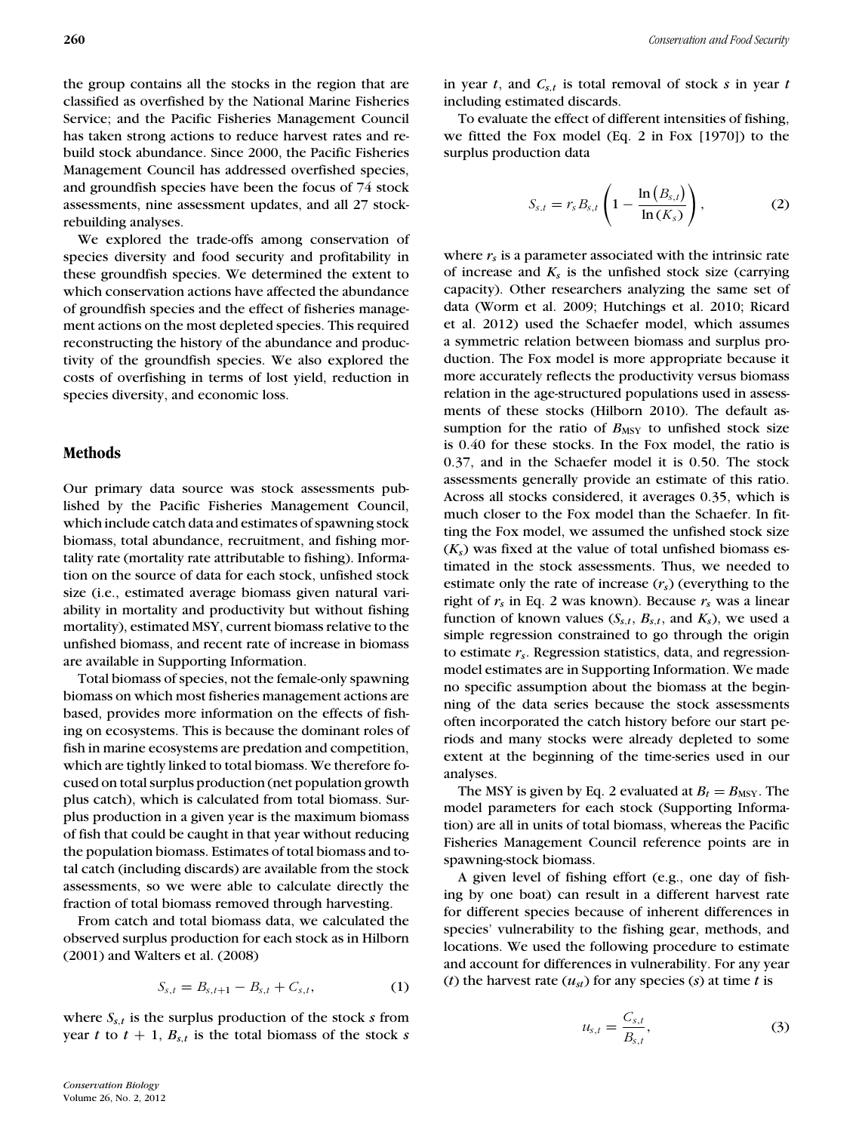the group contains all the stocks in the region that are classified as overfished by the National Marine Fisheries Service; and the Pacific Fisheries Management Council has taken strong actions to reduce harvest rates and rebuild stock abundance. Since 2000, the Pacific Fisheries Management Council has addressed overfished species, and groundfish species have been the focus of 74 stock assessments, nine assessment updates, and all 27 stockrebuilding analyses.

We explored the trade-offs among conservation of species diversity and food security and profitability in these groundfish species. We determined the extent to which conservation actions have affected the abundance of groundfish species and the effect of fisheries management actions on the most depleted species. This required reconstructing the history of the abundance and productivity of the groundfish species. We also explored the costs of overfishing in terms of lost yield, reduction in species diversity, and economic loss.

#### **Methods**

Our primary data source was stock assessments published by the Pacific Fisheries Management Council, which include catch data and estimates of spawning stock biomass, total abundance, recruitment, and fishing mortality rate (mortality rate attributable to fishing). Information on the source of data for each stock, unfished stock size (i.e., estimated average biomass given natural variability in mortality and productivity but without fishing mortality), estimated MSY, current biomass relative to the unfished biomass, and recent rate of increase in biomass are available in Supporting Information.

Total biomass of species, not the female-only spawning biomass on which most fisheries management actions are based, provides more information on the effects of fishing on ecosystems. This is because the dominant roles of fish in marine ecosystems are predation and competition, which are tightly linked to total biomass. We therefore focused on total surplus production (net population growth plus catch), which is calculated from total biomass. Surplus production in a given year is the maximum biomass of fish that could be caught in that year without reducing the population biomass. Estimates of total biomass and total catch (including discards) are available from the stock assessments, so we were able to calculate directly the fraction of total biomass removed through harvesting.

From catch and total biomass data, we calculated the observed surplus production for each stock as in Hilborn (2001) and Walters et al. (2008)

$$
S_{s,t} = B_{s,t+1} - B_{s,t} + C_{s,t},
$$
 (1)

where  $S_{s,t}$  is the surplus production of the stock  $s$  from year *t* to  $t + 1$ ,  $B_{s,t}$  is the total biomass of the stock *s*  in year *t*, and *Cs*,*<sup>t</sup>* is total removal of stock *s* in year *t* including estimated discards.

To evaluate the effect of different intensities of fishing, we fitted the Fox model (Eq. 2 in Fox [1970]) to the surplus production data

$$
S_{s,t} = r_s B_{s,t} \left( 1 - \frac{\ln(B_{s,t})}{\ln(K_s)} \right), \qquad (2)
$$

where  $r<sub>s</sub>$  is a parameter associated with the intrinsic rate of increase and  $K_s$  is the unfished stock size (carrying capacity). Other researchers analyzing the same set of data (Worm et al. 2009; Hutchings et al. 2010; Ricard et al. 2012) used the Schaefer model, which assumes a symmetric relation between biomass and surplus production. The Fox model is more appropriate because it more accurately reflects the productivity versus biomass relation in the age-structured populations used in assessments of these stocks (Hilborn 2010). The default assumption for the ratio of  $B_{\text{MSY}}$  to unfished stock size is 0.40 for these stocks. In the Fox model, the ratio is 0.37, and in the Schaefer model it is 0.50. The stock assessments generally provide an estimate of this ratio. Across all stocks considered, it averages 0.35, which is much closer to the Fox model than the Schaefer. In fitting the Fox model, we assumed the unfished stock size  $(K<sub>s</sub>)$  was fixed at the value of total unfished biomass estimated in the stock assessments. Thus, we needed to estimate only the rate of increase (*rs*) (everything to the right of *rs* in Eq. 2 was known). Because *rs* was a linear function of known values  $(S_{s,t}, B_{s,t},$  and  $K_s)$ , we used a simple regression constrained to go through the origin to estimate *rs*. Regression statistics, data, and regressionmodel estimates are in Supporting Information. We made no specific assumption about the biomass at the beginning of the data series because the stock assessments often incorporated the catch history before our start periods and many stocks were already depleted to some extent at the beginning of the time-series used in our analyses.

The MSY is given by Eq. 2 evaluated at  $B_t = B_{\text{MSY}}$ . The model parameters for each stock (Supporting Information) are all in units of total biomass, whereas the Pacific Fisheries Management Council reference points are in spawning-stock biomass.

A given level of fishing effort (e.g., one day of fishing by one boat) can result in a different harvest rate for different species because of inherent differences in species' vulnerability to the fishing gear, methods, and locations. We used the following procedure to estimate and account for differences in vulnerability. For any year (*t*) the harvest rate  $(u_{st})$  for any species (*s*) at time *t* is

$$
u_{s,t} = \frac{C_{s,t}}{B_{s,t}},\tag{3}
$$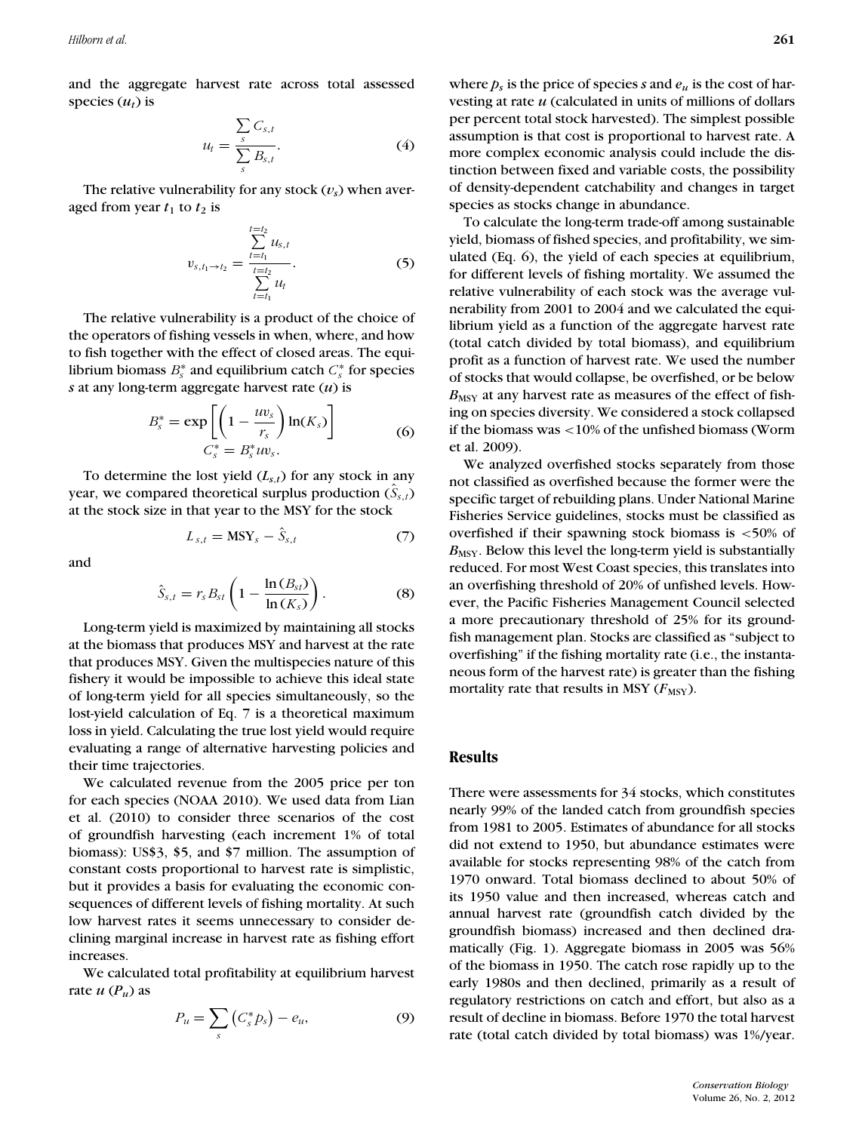and the aggregate harvest rate across total assessed species  $(u_t)$  is

$$
u_t = \frac{\sum_{s} C_{s,t}}{\sum_{s} B_{s,t}}.
$$
 (4)

The relative vulnerability for any stock  $(v_s)$  when averaged from year  $t_1$  to  $t_2$  is

$$
v_{s,t_1 \to t_2} = \frac{\sum_{t=t_1}^{t=t_2} u_{s,t}}{\sum_{t=t_1}^{t=t_2} u_t}.
$$
 (5)

The relative vulnerability is a product of the choice of the operators of fishing vessels in when, where, and how to fish together with the effect of closed areas. The equilibrium biomass  $B_s^*$  and equilibrium catch  $C_s^*$  for species *s* at any long-term aggregate harvest rate (*u*) is

$$
B_s^* = \exp\left[\left(1 - \frac{uv_s}{r_s}\right) \ln(K_s)\right]
$$
  

$$
C_s^* = B_s^* uv_s.
$$
 (6)

To determine the lost yield  $(L_{s,t})$  for any stock in any year, we compared theoretical surplus production  $(\hat{S}_{s,t})$ at the stock size in that year to the MSY for the stock

$$
L_{s,t} = \text{MSY}_s - \hat{S}_{s,t} \tag{7}
$$

and

$$
\hat{S}_{s,t} = r_s B_{st} \left( 1 - \frac{\ln(B_{st})}{\ln(K_s)} \right). \tag{8}
$$

Long-term yield is maximized by maintaining all stocks at the biomass that produces MSY and harvest at the rate that produces MSY. Given the multispecies nature of this fishery it would be impossible to achieve this ideal state of long-term yield for all species simultaneously, so the lost-yield calculation of Eq. 7 is a theoretical maximum loss in yield. Calculating the true lost yield would require evaluating a range of alternative harvesting policies and their time trajectories.

We calculated revenue from the 2005 price per ton for each species (NOAA 2010). We used data from Lian et al. (2010) to consider three scenarios of the cost of groundfish harvesting (each increment 1% of total biomass): US\$3, \$5, and \$7 million. The assumption of constant costs proportional to harvest rate is simplistic, but it provides a basis for evaluating the economic consequences of different levels of fishing mortality. At such low harvest rates it seems unnecessary to consider declining marginal increase in harvest rate as fishing effort increases.

We calculated total profitability at equilibrium harvest rate  $u(P_u)$  as

$$
P_u = \sum_s \left( C_s^* p_s \right) - e_u, \tag{9}
$$

where  $p_s$  is the price of species *s* and  $e_u$  is the cost of harvesting at rate *u* (calculated in units of millions of dollars per percent total stock harvested). The simplest possible assumption is that cost is proportional to harvest rate. A more complex economic analysis could include the distinction between fixed and variable costs, the possibility of density-dependent catchability and changes in target species as stocks change in abundance.

To calculate the long-term trade-off among sustainable yield, biomass of fished species, and profitability, we simulated (Eq. 6), the yield of each species at equilibrium, for different levels of fishing mortality. We assumed the relative vulnerability of each stock was the average vulnerability from 2001 to 2004 and we calculated the equilibrium yield as a function of the aggregate harvest rate (total catch divided by total biomass), and equilibrium profit as a function of harvest rate. We used the number of stocks that would collapse, be overfished, or be below *B*<sub>MSY</sub> at any harvest rate as measures of the effect of fishing on species diversity. We considered a stock collapsed if the biomass was <10% of the unfished biomass (Worm et al. 2009).

We analyzed overfished stocks separately from those not classified as overfished because the former were the specific target of rebuilding plans. Under National Marine Fisheries Service guidelines, stocks must be classified as overfished if their spawning stock biomass is  $<50\%$  of  $B_{\text{MSY}}$ . Below this level the long-term yield is substantially reduced. For most West Coast species, this translates into an overfishing threshold of 20% of unfished levels. However, the Pacific Fisheries Management Council selected a more precautionary threshold of 25% for its groundfish management plan. Stocks are classified as "subject to overfishing" if the fishing mortality rate (i.e., the instantaneous form of the harvest rate) is greater than the fishing mortality rate that results in MSY  $(F_{\text{MSY}})$ .

#### **Results**

There were assessments for 34 stocks, which constitutes nearly 99% of the landed catch from groundfish species from 1981 to 2005. Estimates of abundance for all stocks did not extend to 1950, but abundance estimates were available for stocks representing 98% of the catch from 1970 onward. Total biomass declined to about 50% of its 1950 value and then increased, whereas catch and annual harvest rate (groundfish catch divided by the groundfish biomass) increased and then declined dramatically (Fig. 1). Aggregate biomass in 2005 was 56% of the biomass in 1950. The catch rose rapidly up to the early 1980s and then declined, primarily as a result of regulatory restrictions on catch and effort, but also as a result of decline in biomass. Before 1970 the total harvest rate (total catch divided by total biomass) was 1%/year.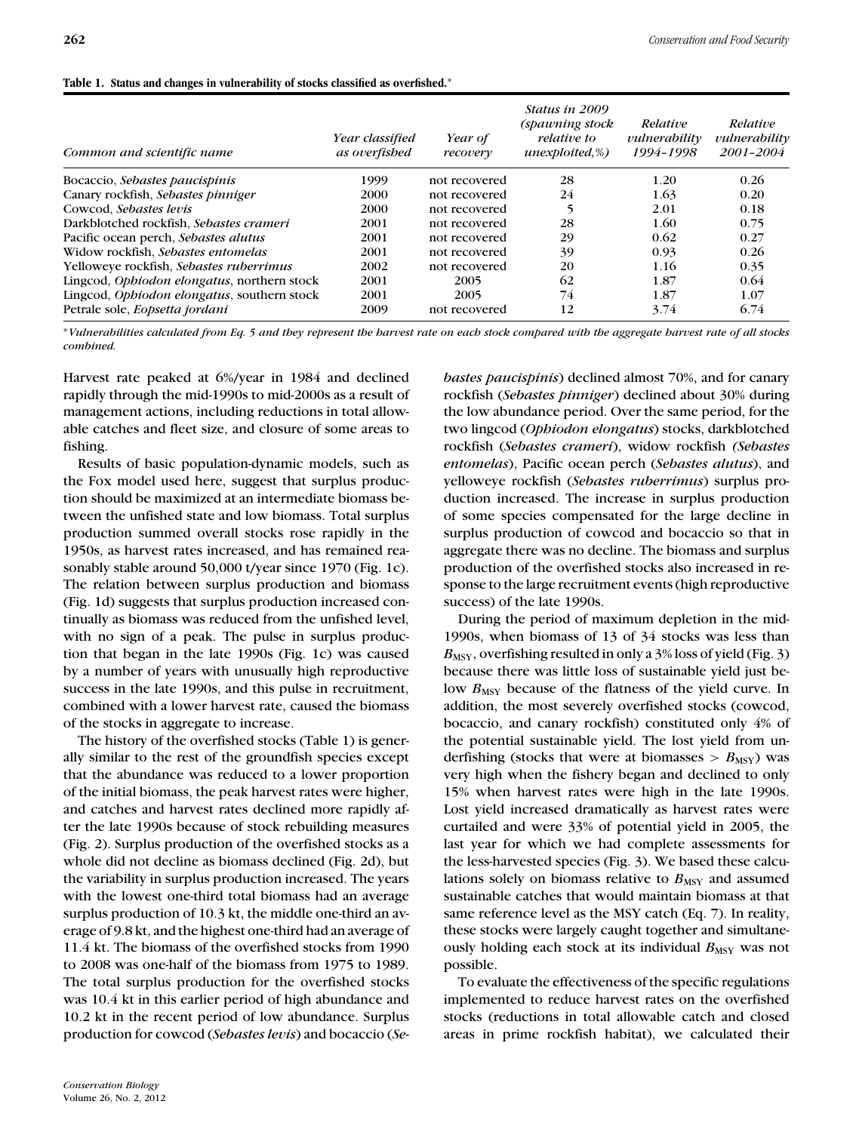| Common and scientific name                  | Year classified<br>as overfished | Year of<br>recovery | <i>Status in 2009</i><br>(spawning stock<br><i>relative</i> to<br>$unexploited,\%)$ | Relative<br>vulnerability<br>1994-1998 | Relative<br>vulnerability<br>2001-2004 |
|---------------------------------------------|----------------------------------|---------------------|-------------------------------------------------------------------------------------|----------------------------------------|----------------------------------------|
| Bocaccio, Sebastes paucispinis              | 1999                             | not recovered       | 28                                                                                  | 1.20                                   | 0.26                                   |
| Canary rockfish, Sebastes pinniger          | 2000                             | not recovered       | 24                                                                                  | 1.63                                   | 0.20                                   |
| Cowcod, Sebastes levis                      | 2000                             | not recovered       |                                                                                     | 2.01                                   | 0.18                                   |
| Darkblotched rockfish, Sebastes crameri     | 2001                             | not recovered       | 28                                                                                  | 1.60                                   | 0.75                                   |
| Pacific ocean perch, Sebastes alutus        | 2001                             | not recovered       | 29                                                                                  | 0.62                                   | 0.27                                   |
| Widow rockfish, Sebastes entomelas          | 2001                             | not recovered       | 39                                                                                  | 0.93                                   | 0.26                                   |
| Yelloweve rockfish, Sebastes ruberrimus     | 2002                             | not recovered       | 20                                                                                  | 1.16                                   | 0.35                                   |
| Lingcod, Ophiodon elongatus, northern stock | 2001                             | 2005                | 62                                                                                  | 1.87                                   | 0.64                                   |
| Lingcod, Ophiodon elongatus, southern stock | 2001                             | 2005                | 74                                                                                  | 1.87                                   | 1.07                                   |
| Petrale sole, Eopsetta jordani              | 2009                             | not recovered       | 12                                                                                  | 3.74                                   | 6.74                                   |

#### **Table 1. Status and changes in vulnerability of stocks classified as overfished.**<sup>∗</sup>

∗*Vulnerabilities calculated from Eq. 5 and they represent the harvest rate on each stock compared with the aggregate harvest rate of all stocks combined.*

Harvest rate peaked at 6%/year in 1984 and declined rapidly through the mid-1990s to mid-2000s as a result of management actions, including reductions in total allowable catches and fleet size, and closure of some areas to fishing.

Results of basic population-dynamic models, such as the Fox model used here, suggest that surplus production should be maximized at an intermediate biomass between the unfished state and low biomass. Total surplus production summed overall stocks rose rapidly in the 1950s, as harvest rates increased, and has remained reasonably stable around 50,000 t/year since 1970 (Fig. 1c). The relation between surplus production and biomass (Fig. 1d) suggests that surplus production increased continually as biomass was reduced from the unfished level, with no sign of a peak. The pulse in surplus production that began in the late 1990s (Fig. 1c) was caused by a number of years with unusually high reproductive success in the late 1990s, and this pulse in recruitment, combined with a lower harvest rate, caused the biomass of the stocks in aggregate to increase.

The history of the overfished stocks (Table 1) is generally similar to the rest of the groundfish species except that the abundance was reduced to a lower proportion of the initial biomass, the peak harvest rates were higher, and catches and harvest rates declined more rapidly after the late 1990s because of stock rebuilding measures (Fig. 2). Surplus production of the overfished stocks as a whole did not decline as biomass declined (Fig. 2d), but the variability in surplus production increased. The years with the lowest one-third total biomass had an average surplus production of 10.3 kt, the middle one-third an average of 9.8 kt, and the highest one-third had an average of 11.4 kt. The biomass of the overfished stocks from 1990 to 2008 was one-half of the biomass from 1975 to 1989. The total surplus production for the overfished stocks was 10.4 kt in this earlier period of high abundance and 10.2 kt in the recent period of low abundance. Surplus production for cowcod (*Sebastes levis*) and bocaccio (*Se-* *bastes paucispinis*) declined almost 70%, and for canary rockfish (*Sebastes pinniger*) declined about 30% during the low abundance period. Over the same period, for the two lingcod (*Ophiodon elongatus*) stocks, darkblotched rockfish (*Sebastes crameri*), widow rockfish *(Sebastes entomelas*), Pacific ocean perch (*Sebastes alutus*), and yelloweye rockfish (*Sebastes ruberrimus*) surplus production increased. The increase in surplus production of some species compensated for the large decline in surplus production of cowcod and bocaccio so that in aggregate there was no decline. The biomass and surplus production of the overfished stocks also increased in response to the large recruitment events (high reproductive success) of the late 1990s.

During the period of maximum depletion in the mid-1990s, when biomass of 13 of 34 stocks was less than  $B_{\text{MSY}}$ , overfishing resulted in only a  $3\%$  loss of yield (Fig. 3) because there was little loss of sustainable yield just below  $B_{\text{MSY}}$  because of the flatness of the yield curve. In addition, the most severely overfished stocks (cowcod, bocaccio, and canary rockfish) constituted only 4% of the potential sustainable yield. The lost yield from underfishing (stocks that were at biomasses  $>$   $B_{\text{MSY}}$ ) was very high when the fishery began and declined to only 15% when harvest rates were high in the late 1990s. Lost yield increased dramatically as harvest rates were curtailed and were 33% of potential yield in 2005, the last year for which we had complete assessments for the less-harvested species (Fig. 3). We based these calculations solely on biomass relative to  $B_{\text{MSY}}$  and assumed sustainable catches that would maintain biomass at that same reference level as the MSY catch (Eq. 7). In reality, these stocks were largely caught together and simultaneously holding each stock at its individual  $B_{\text{MSY}}$  was not possible.

To evaluate the effectiveness of the specific regulations implemented to reduce harvest rates on the overfished stocks (reductions in total allowable catch and closed areas in prime rockfish habitat), we calculated their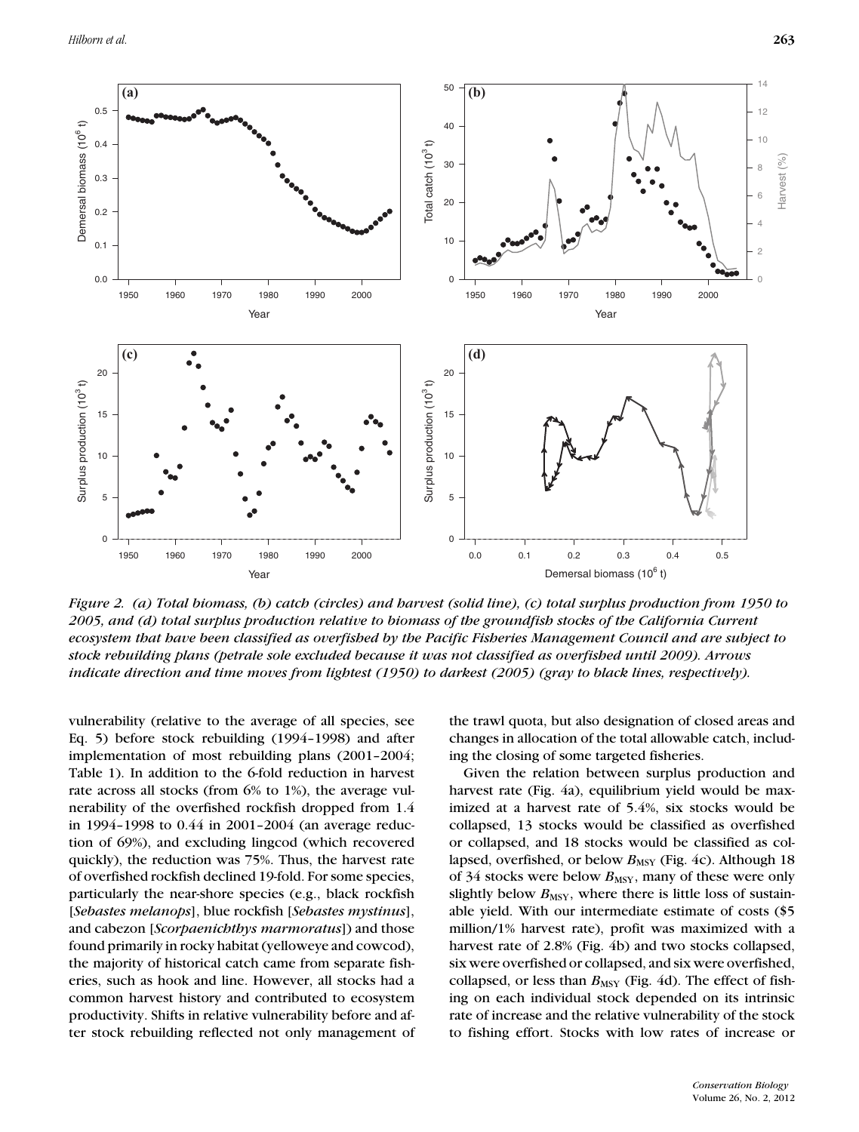

*Figure 2. (a) Total biomass, (b) catch (circles) and harvest (solid line), (c) total surplus production from 1950 to 2005, and (d) total surplus production relative to biomass of the groundfish stocks of the California Current ecosystem that have been classified as overfished by the Pacific Fisheries Management Council and are subject to stock rebuilding plans (petrale sole excluded because it was not classified as overfished until 2009). Arrows indicate direction and time moves from lightest (1950) to darkest (2005) (gray to black lines, respectively).*

vulnerability (relative to the average of all species, see Eq. 5) before stock rebuilding (1994–1998) and after implementation of most rebuilding plans (2001–2004; Table 1). In addition to the 6-fold reduction in harvest rate across all stocks (from 6% to 1%), the average vulnerability of the overfished rockfish dropped from 1.4 in 1994–1998 to 0.44 in 2001–2004 (an average reduction of 69%), and excluding lingcod (which recovered quickly), the reduction was 75%. Thus, the harvest rate of overfished rockfish declined 19-fold. For some species, particularly the near-shore species (e.g., black rockfish [*Sebastes melanops*], blue rockfish [*Sebastes mystinus*], and cabezon [*Scorpaenichthys marmoratus*]) and those found primarily in rocky habitat (yelloweye and cowcod), the majority of historical catch came from separate fisheries, such as hook and line. However, all stocks had a common harvest history and contributed to ecosystem productivity. Shifts in relative vulnerability before and after stock rebuilding reflected not only management of the trawl quota, but also designation of closed areas and changes in allocation of the total allowable catch, including the closing of some targeted fisheries.

Given the relation between surplus production and harvest rate (Fig. 4a), equilibrium yield would be maximized at a harvest rate of 5.4%, six stocks would be collapsed, 13 stocks would be classified as overfished or collapsed, and 18 stocks would be classified as collapsed, overfished, or below  $B_{\text{MSY}}$  (Fig. 4c). Although 18 of 34 stocks were below  $B_{\text{MSY}}$ , many of these were only slightly below  $B_{\text{MSY}}$ , where there is little loss of sustainable yield. With our intermediate estimate of costs (\$5 million/1% harvest rate), profit was maximized with a harvest rate of 2.8% (Fig. 4b) and two stocks collapsed, six were overfished or collapsed, and six were overfished, collapsed, or less than  $B_{\text{MSY}}$  (Fig. 4d). The effect of fishing on each individual stock depended on its intrinsic rate of increase and the relative vulnerability of the stock to fishing effort. Stocks with low rates of increase or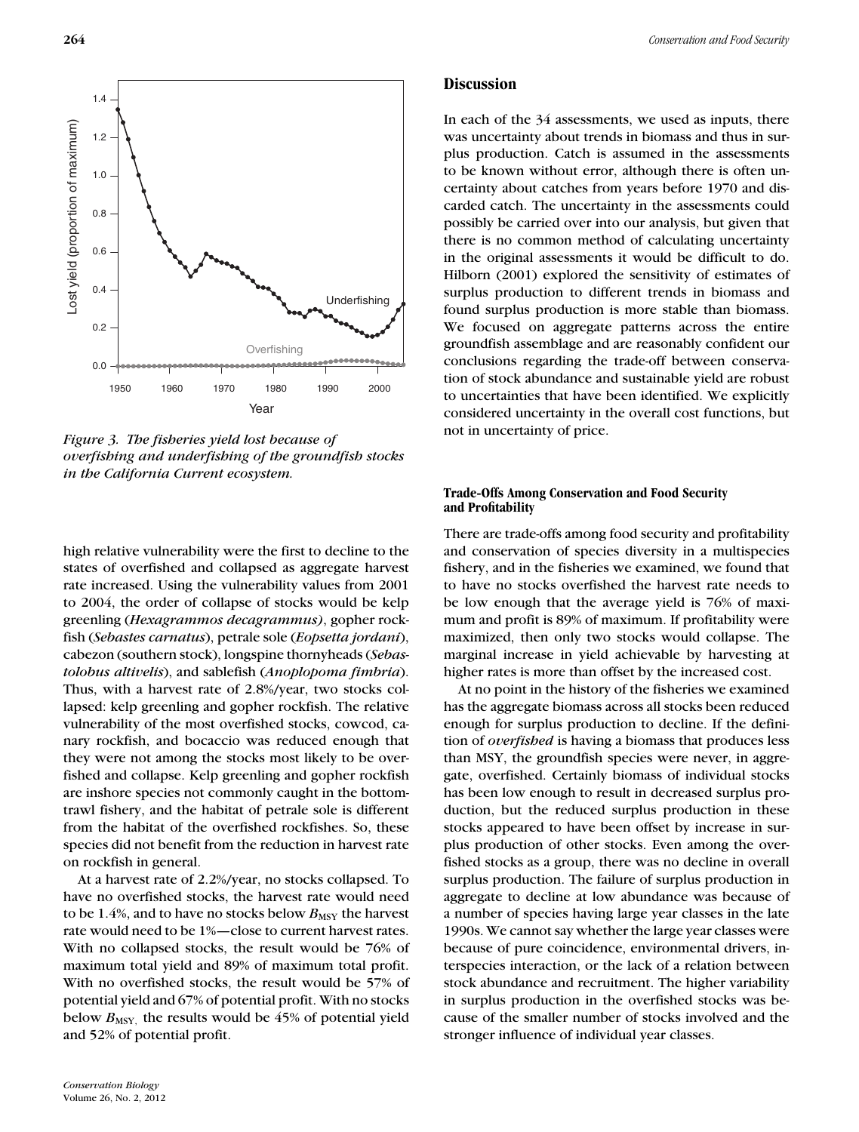

*Figure 3. The fisheries yield lost because of overfishing and underfishing of the groundfish stocks in the California Current ecosystem.*

high relative vulnerability were the first to decline to the states of overfished and collapsed as aggregate harvest rate increased. Using the vulnerability values from 2001 to 2004, the order of collapse of stocks would be kelp greenling (*Hexagrammos decagrammus)*, gopher rockfish (*Sebastes carnatus*), petrale sole (*Eopsetta jordani*), cabezon (southern stock), longspine thornyheads (*Sebastolobus altivelis*), and sablefish (*Anoplopoma fimbria*). Thus, with a harvest rate of 2.8%/year, two stocks collapsed: kelp greenling and gopher rockfish. The relative vulnerability of the most overfished stocks, cowcod, canary rockfish, and bocaccio was reduced enough that they were not among the stocks most likely to be overfished and collapse. Kelp greenling and gopher rockfish are inshore species not commonly caught in the bottomtrawl fishery, and the habitat of petrale sole is different from the habitat of the overfished rockfishes. So, these species did not benefit from the reduction in harvest rate on rockfish in general.

At a harvest rate of 2.2%/year, no stocks collapsed. To have no overfished stocks, the harvest rate would need to be 1.4%, and to have no stocks below  $B_{\text{MSY}}$  the harvest rate would need to be 1%—close to current harvest rates. With no collapsed stocks, the result would be 76% of maximum total yield and 89% of maximum total profit. With no overfished stocks, the result would be 57% of potential yield and 67% of potential profit. With no stocks below  $B_{\text{MSY}}$ , the results would be 45% of potential yield and 52% of potential profit.

#### **Discussion**

In each of the 34 assessments, we used as inputs, there was uncertainty about trends in biomass and thus in surplus production. Catch is assumed in the assessments to be known without error, although there is often uncertainty about catches from years before 1970 and discarded catch. The uncertainty in the assessments could possibly be carried over into our analysis, but given that there is no common method of calculating uncertainty in the original assessments it would be difficult to do. Hilborn (2001) explored the sensitivity of estimates of surplus production to different trends in biomass and found surplus production is more stable than biomass. We focused on aggregate patterns across the entire groundfish assemblage and are reasonably confident our conclusions regarding the trade-off between conservation of stock abundance and sustainable yield are robust to uncertainties that have been identified. We explicitly considered uncertainty in the overall cost functions, but not in uncertainty of price.

#### **Trade-Offs Among Conservation and Food Security and Profitability**

There are trade-offs among food security and profitability and conservation of species diversity in a multispecies fishery, and in the fisheries we examined, we found that to have no stocks overfished the harvest rate needs to be low enough that the average yield is 76% of maximum and profit is 89% of maximum. If profitability were maximized, then only two stocks would collapse. The marginal increase in yield achievable by harvesting at higher rates is more than offset by the increased cost.

At no point in the history of the fisheries we examined has the aggregate biomass across all stocks been reduced enough for surplus production to decline. If the definition of *overfished* is having a biomass that produces less than MSY, the groundfish species were never, in aggregate, overfished. Certainly biomass of individual stocks has been low enough to result in decreased surplus production, but the reduced surplus production in these stocks appeared to have been offset by increase in surplus production of other stocks. Even among the overfished stocks as a group, there was no decline in overall surplus production. The failure of surplus production in aggregate to decline at low abundance was because of a number of species having large year classes in the late 1990s. We cannot say whether the large year classes were because of pure coincidence, environmental drivers, interspecies interaction, or the lack of a relation between stock abundance and recruitment. The higher variability in surplus production in the overfished stocks was because of the smaller number of stocks involved and the stronger influence of individual year classes.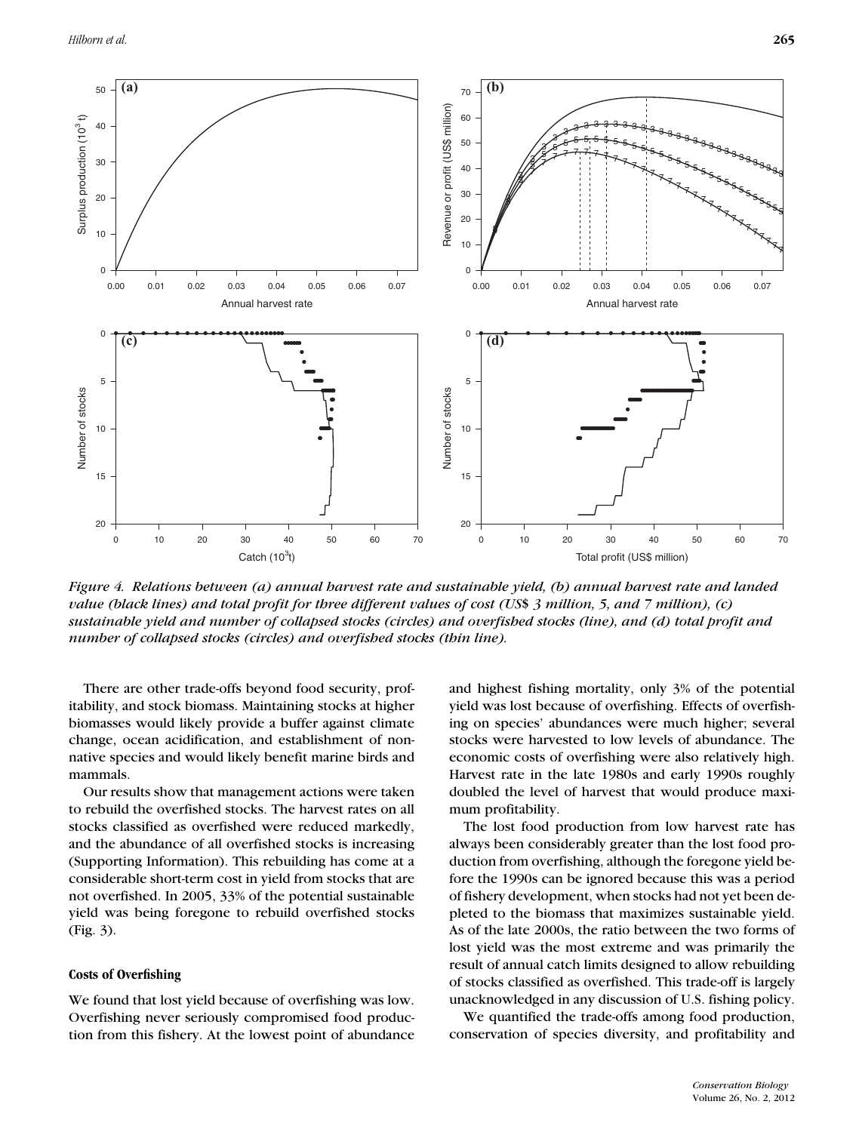

*Figure 4. Relations between (a) annual harvest rate and sustainable yield, (b) annual harvest rate and landed value (black lines) and total profit for three different values of cost (US*\$ *3 million, 5, and 7 million), (c) sustainable yield and number of collapsed stocks (circles) and overfished stocks (line), and (d) total profit and number of collapsed stocks (circles) and overfished stocks (thin line).*

There are other trade-offs beyond food security, profitability, and stock biomass. Maintaining stocks at higher biomasses would likely provide a buffer against climate change, ocean acidification, and establishment of nonnative species and would likely benefit marine birds and mammals.

Our results show that management actions were taken to rebuild the overfished stocks. The harvest rates on all stocks classified as overfished were reduced markedly, and the abundance of all overfished stocks is increasing (Supporting Information). This rebuilding has come at a considerable short-term cost in yield from stocks that are not overfished. In 2005, 33% of the potential sustainable yield was being foregone to rebuild overfished stocks (Fig. 3).

#### **Costs of Overfishing**

We found that lost yield because of overfishing was low. Overfishing never seriously compromised food production from this fishery. At the lowest point of abundance

and highest fishing mortality, only 3% of the potential yield was lost because of overfishing. Effects of overfishing on species' abundances were much higher; several stocks were harvested to low levels of abundance. The economic costs of overfishing were also relatively high. Harvest rate in the late 1980s and early 1990s roughly doubled the level of harvest that would produce maximum profitability.

The lost food production from low harvest rate has always been considerably greater than the lost food production from overfishing, although the foregone yield before the 1990s can be ignored because this was a period of fishery development, when stocks had not yet been depleted to the biomass that maximizes sustainable yield. As of the late 2000s, the ratio between the two forms of lost yield was the most extreme and was primarily the result of annual catch limits designed to allow rebuilding of stocks classified as overfished. This trade-off is largely unacknowledged in any discussion of U.S. fishing policy.

We quantified the trade-offs among food production, conservation of species diversity, and profitability and